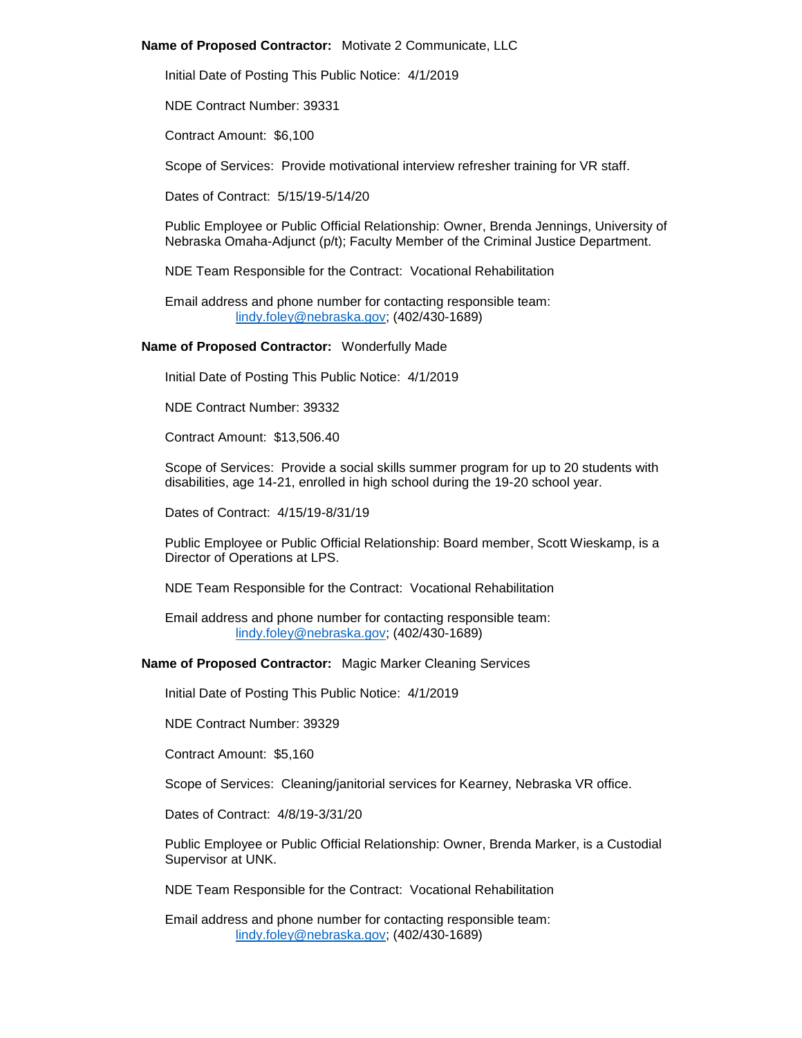## **Name of Proposed Contractor:** Motivate 2 Communicate, LLC

Initial Date of Posting This Public Notice: 4/1/2019

NDE Contract Number: 39331

Contract Amount: \$6,100

Scope of Services: Provide motivational interview refresher training for VR staff.

Dates of Contract: 5/15/19-5/14/20

Public Employee or Public Official Relationship: Owner, Brenda Jennings, University of Nebraska Omaha-Adjunct (p/t); Faculty Member of the Criminal Justice Department.

NDE Team Responsible for the Contract: Vocational Rehabilitation

Email address and phone number for contacting responsible team: [lindy.foley@nebraska.gov;](mailto:lindy.foley@nebraska.gov) (402/430-1689)

# **Name of Proposed Contractor:** Wonderfully Made

Initial Date of Posting This Public Notice: 4/1/2019

NDE Contract Number: 39332

Contract Amount: \$13,506.40

Scope of Services: Provide a social skills summer program for up to 20 students with disabilities, age 14-21, enrolled in high school during the 19-20 school year.

Dates of Contract: 4/15/19-8/31/19

Public Employee or Public Official Relationship: Board member, Scott Wieskamp, is a Director of Operations at LPS.

NDE Team Responsible for the Contract: Vocational Rehabilitation

Email address and phone number for contacting responsible team: [lindy.foley@nebraska.gov;](mailto:lindy.foley@nebraska.gov) (402/430-1689)

**Name of Proposed Contractor:** Magic Marker Cleaning Services

Initial Date of Posting This Public Notice: 4/1/2019

NDE Contract Number: 39329

Contract Amount: \$5,160

Scope of Services: Cleaning/janitorial services for Kearney, Nebraska VR office.

Dates of Contract: 4/8/19-3/31/20

Public Employee or Public Official Relationship: Owner, Brenda Marker, is a Custodial Supervisor at UNK.

NDE Team Responsible for the Contract: Vocational Rehabilitation

Email address and phone number for contacting responsible team: [lindy.foley@nebraska.gov;](mailto:lindy.foley@nebraska.gov) (402/430-1689)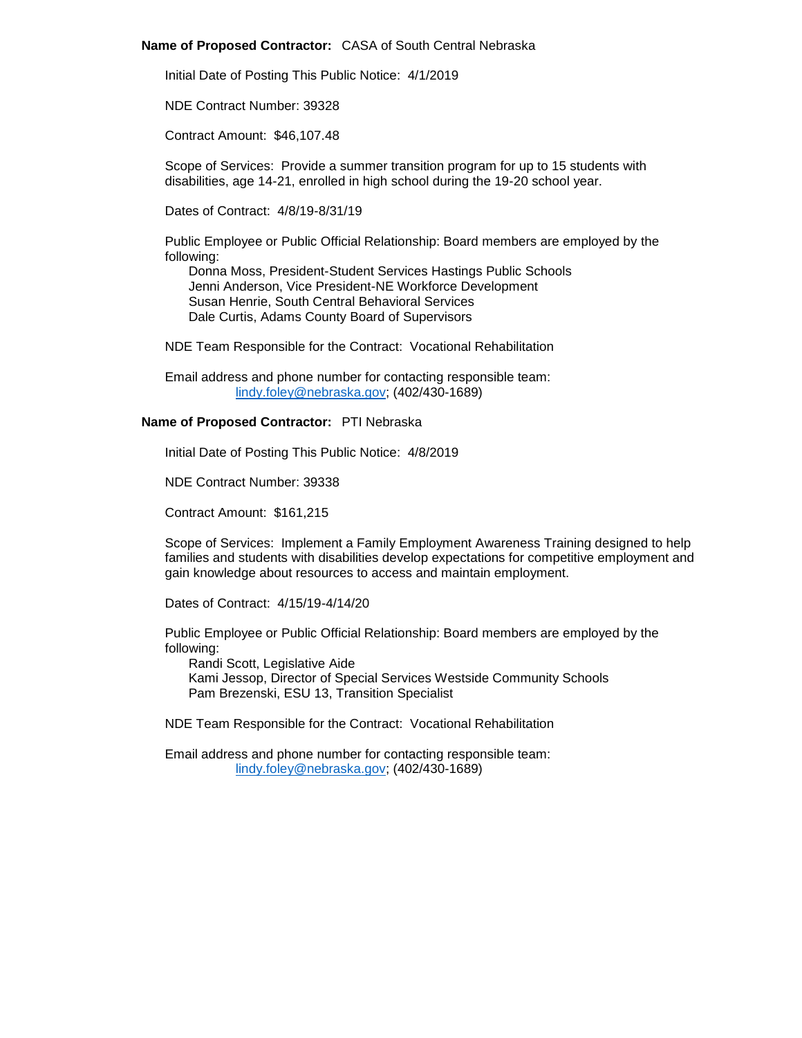## **Name of Proposed Contractor:** CASA of South Central Nebraska

Initial Date of Posting This Public Notice: 4/1/2019

NDE Contract Number: 39328

Contract Amount: \$46,107.48

Scope of Services: Provide a summer transition program for up to 15 students with disabilities, age 14-21, enrolled in high school during the 19-20 school year.

Dates of Contract: 4/8/19-8/31/19

Public Employee or Public Official Relationship: Board members are employed by the following:

Donna Moss, President-Student Services Hastings Public Schools Jenni Anderson, Vice President-NE Workforce Development Susan Henrie, South Central Behavioral Services Dale Curtis, Adams County Board of Supervisors

NDE Team Responsible for the Contract: Vocational Rehabilitation

Email address and phone number for contacting responsible team: [lindy.foley@nebraska.gov;](mailto:lindy.foley@nebraska.gov) (402/430-1689)

# **Name of Proposed Contractor:** PTI Nebraska

Initial Date of Posting This Public Notice: 4/8/2019

NDE Contract Number: 39338

Contract Amount: \$161,215

Scope of Services: Implement a Family Employment Awareness Training designed to help families and students with disabilities develop expectations for competitive employment and gain knowledge about resources to access and maintain employment.

Dates of Contract: 4/15/19-4/14/20

Public Employee or Public Official Relationship: Board members are employed by the following:

Randi Scott, Legislative Aide Kami Jessop, Director of Special Services Westside Community Schools Pam Brezenski, ESU 13, Transition Specialist

NDE Team Responsible for the Contract: Vocational Rehabilitation

Email address and phone number for contacting responsible team: [lindy.foley@nebraska.gov;](mailto:lindy.foley@nebraska.gov) (402/430-1689)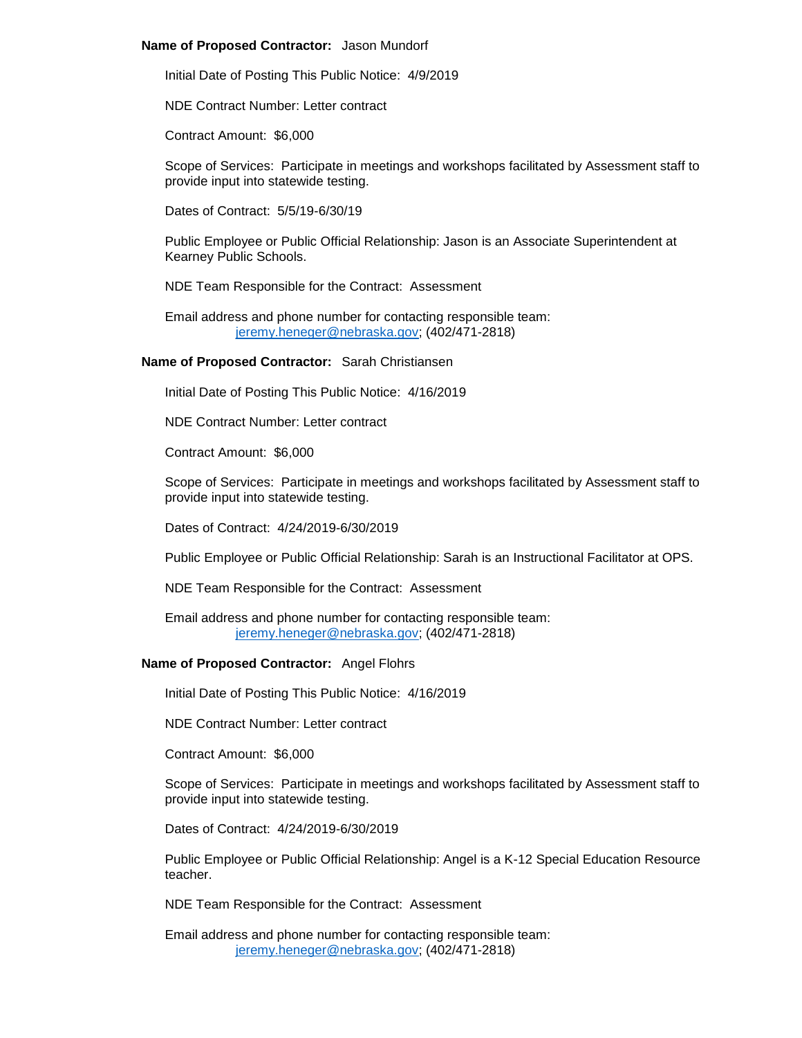## **Name of Proposed Contractor:** Jason Mundorf

Initial Date of Posting This Public Notice: 4/9/2019

NDE Contract Number: Letter contract

Contract Amount: \$6,000

Scope of Services: Participate in meetings and workshops facilitated by Assessment staff to provide input into statewide testing.

Dates of Contract: 5/5/19-6/30/19

Public Employee or Public Official Relationship: Jason is an Associate Superintendent at Kearney Public Schools.

NDE Team Responsible for the Contract: Assessment

Email address and phone number for contacting responsible team: [jeremy.heneger@nebraska.gov;](mailto:jeremy.heneger@nebraska.gov) (402/471-2818)

# **Name of Proposed Contractor:** Sarah Christiansen

Initial Date of Posting This Public Notice: 4/16/2019

NDE Contract Number: Letter contract

Contract Amount: \$6,000

Scope of Services: Participate in meetings and workshops facilitated by Assessment staff to provide input into statewide testing.

Dates of Contract: 4/24/2019-6/30/2019

Public Employee or Public Official Relationship: Sarah is an Instructional Facilitator at OPS.

NDE Team Responsible for the Contract: Assessment

Email address and phone number for contacting responsible team: [jeremy.heneger@nebraska.gov;](mailto:jeremy.heneger@nebraska.gov) (402/471-2818)

# **Name of Proposed Contractor:** Angel Flohrs

Initial Date of Posting This Public Notice: 4/16/2019

NDE Contract Number: Letter contract

Contract Amount: \$6,000

Scope of Services: Participate in meetings and workshops facilitated by Assessment staff to provide input into statewide testing.

Dates of Contract: 4/24/2019-6/30/2019

Public Employee or Public Official Relationship: Angel is a K-12 Special Education Resource teacher.

NDE Team Responsible for the Contract: Assessment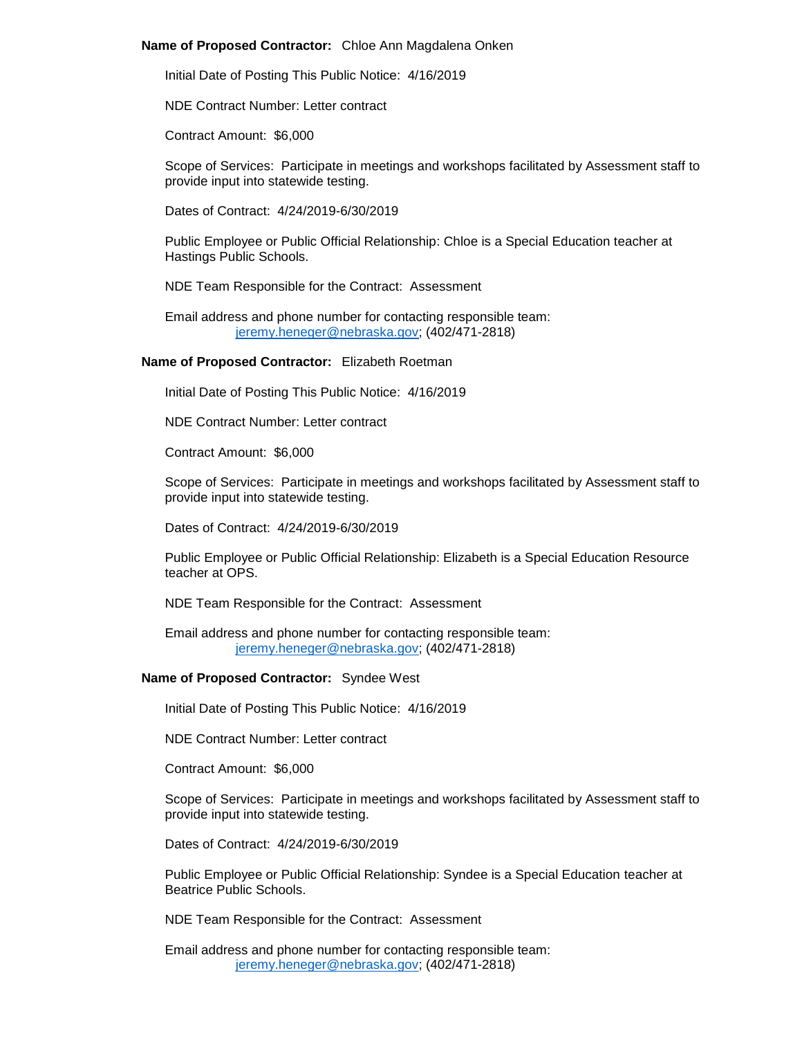## **Name of Proposed Contractor:** Chloe Ann Magdalena Onken

Initial Date of Posting This Public Notice: 4/16/2019

NDE Contract Number: Letter contract

Contract Amount: \$6,000

Scope of Services: Participate in meetings and workshops facilitated by Assessment staff to provide input into statewide testing.

Dates of Contract: 4/24/2019-6/30/2019

Public Employee or Public Official Relationship: Chloe is a Special Education teacher at Hastings Public Schools.

NDE Team Responsible for the Contract: Assessment

Email address and phone number for contacting responsible team: [jeremy.heneger@nebraska.gov;](mailto:jeremy.heneger@nebraska.gov) (402/471-2818)

# **Name of Proposed Contractor:** Elizabeth Roetman

Initial Date of Posting This Public Notice: 4/16/2019

NDE Contract Number: Letter contract

Contract Amount: \$6,000

Scope of Services: Participate in meetings and workshops facilitated by Assessment staff to provide input into statewide testing.

Dates of Contract: 4/24/2019-6/30/2019

Public Employee or Public Official Relationship: Elizabeth is a Special Education Resource teacher at OPS.

NDE Team Responsible for the Contract: Assessment

Email address and phone number for contacting responsible team: [jeremy.heneger@nebraska.gov;](mailto:jeremy.heneger@nebraska.gov) (402/471-2818)

## **Name of Proposed Contractor:** Syndee West

Initial Date of Posting This Public Notice: 4/16/2019

NDE Contract Number: Letter contract

Contract Amount: \$6,000

Scope of Services: Participate in meetings and workshops facilitated by Assessment staff to provide input into statewide testing.

Dates of Contract: 4/24/2019-6/30/2019

Public Employee or Public Official Relationship: Syndee is a Special Education teacher at Beatrice Public Schools.

NDE Team Responsible for the Contract: Assessment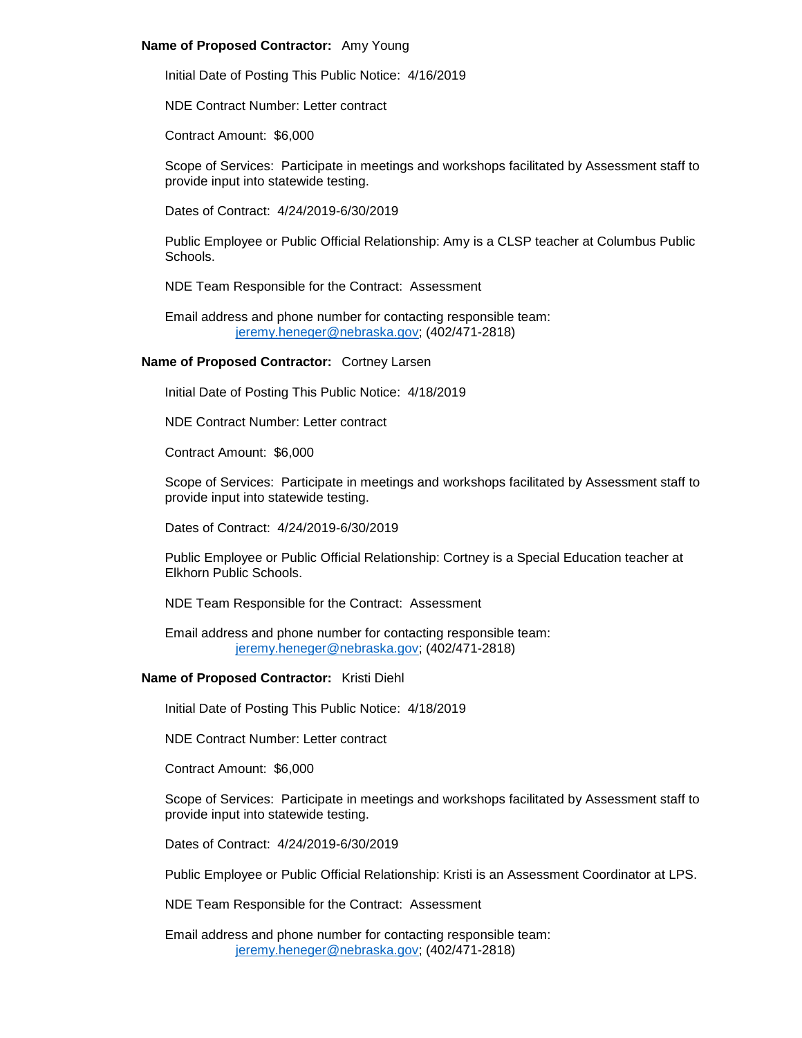## **Name of Proposed Contractor:** Amy Young

Initial Date of Posting This Public Notice: 4/16/2019

NDE Contract Number: Letter contract

Contract Amount: \$6,000

Scope of Services: Participate in meetings and workshops facilitated by Assessment staff to provide input into statewide testing.

Dates of Contract: 4/24/2019-6/30/2019

Public Employee or Public Official Relationship: Amy is a CLSP teacher at Columbus Public Schools.

NDE Team Responsible for the Contract: Assessment

Email address and phone number for contacting responsible team: [jeremy.heneger@nebraska.gov;](mailto:jeremy.heneger@nebraska.gov) (402/471-2818)

# **Name of Proposed Contractor:** Cortney Larsen

Initial Date of Posting This Public Notice: 4/18/2019

NDE Contract Number: Letter contract

Contract Amount: \$6,000

Scope of Services: Participate in meetings and workshops facilitated by Assessment staff to provide input into statewide testing.

Dates of Contract: 4/24/2019-6/30/2019

Public Employee or Public Official Relationship: Cortney is a Special Education teacher at Elkhorn Public Schools.

NDE Team Responsible for the Contract: Assessment

Email address and phone number for contacting responsible team: [jeremy.heneger@nebraska.gov;](mailto:jeremy.heneger@nebraska.gov) (402/471-2818)

## **Name of Proposed Contractor:** Kristi Diehl

Initial Date of Posting This Public Notice: 4/18/2019

NDE Contract Number: Letter contract

Contract Amount: \$6,000

Scope of Services: Participate in meetings and workshops facilitated by Assessment staff to provide input into statewide testing.

Dates of Contract: 4/24/2019-6/30/2019

Public Employee or Public Official Relationship: Kristi is an Assessment Coordinator at LPS.

NDE Team Responsible for the Contract: Assessment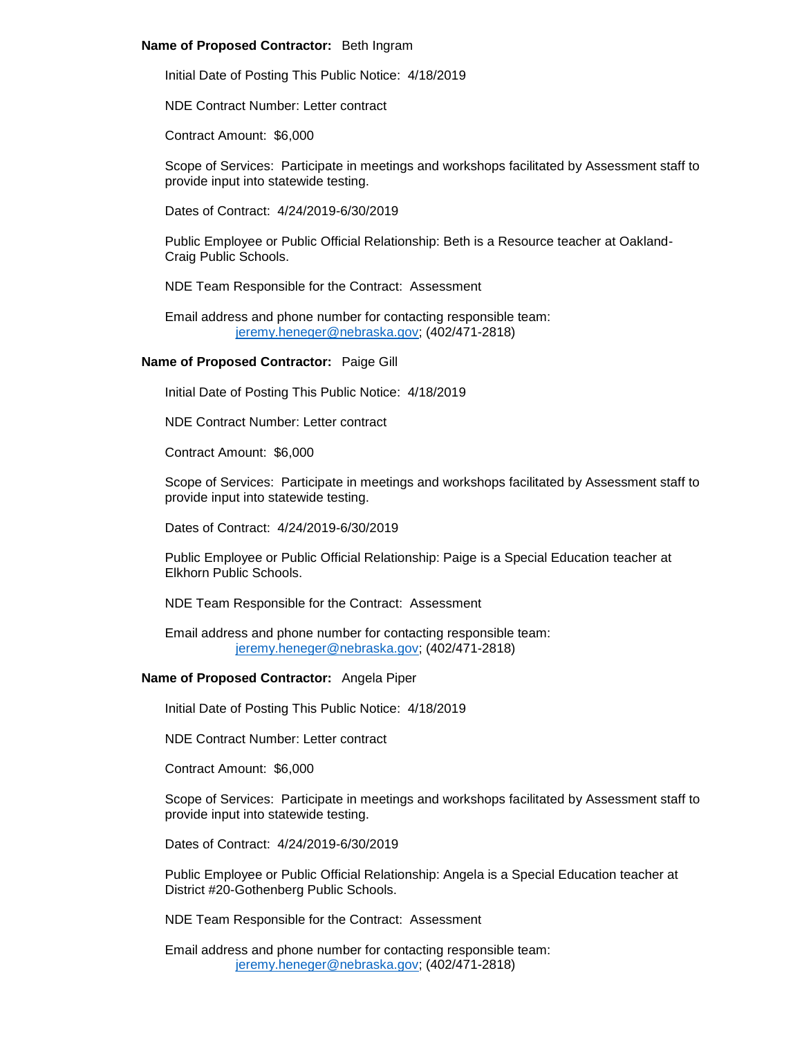## **Name of Proposed Contractor:** Beth Ingram

Initial Date of Posting This Public Notice: 4/18/2019

NDE Contract Number: Letter contract

Contract Amount: \$6,000

Scope of Services: Participate in meetings and workshops facilitated by Assessment staff to provide input into statewide testing.

Dates of Contract: 4/24/2019-6/30/2019

Public Employee or Public Official Relationship: Beth is a Resource teacher at Oakland-Craig Public Schools.

NDE Team Responsible for the Contract: Assessment

Email address and phone number for contacting responsible team: [jeremy.heneger@nebraska.gov;](mailto:jeremy.heneger@nebraska.gov) (402/471-2818)

# **Name of Proposed Contractor:** Paige Gill

Initial Date of Posting This Public Notice: 4/18/2019

NDE Contract Number: Letter contract

Contract Amount: \$6,000

Scope of Services: Participate in meetings and workshops facilitated by Assessment staff to provide input into statewide testing.

Dates of Contract: 4/24/2019-6/30/2019

Public Employee or Public Official Relationship: Paige is a Special Education teacher at Elkhorn Public Schools.

NDE Team Responsible for the Contract: Assessment

Email address and phone number for contacting responsible team: [jeremy.heneger@nebraska.gov;](mailto:jeremy.heneger@nebraska.gov) (402/471-2818)

# **Name of Proposed Contractor:** Angela Piper

Initial Date of Posting This Public Notice: 4/18/2019

NDE Contract Number: Letter contract

Contract Amount: \$6,000

Scope of Services: Participate in meetings and workshops facilitated by Assessment staff to provide input into statewide testing.

Dates of Contract: 4/24/2019-6/30/2019

Public Employee or Public Official Relationship: Angela is a Special Education teacher at District #20-Gothenberg Public Schools.

NDE Team Responsible for the Contract: Assessment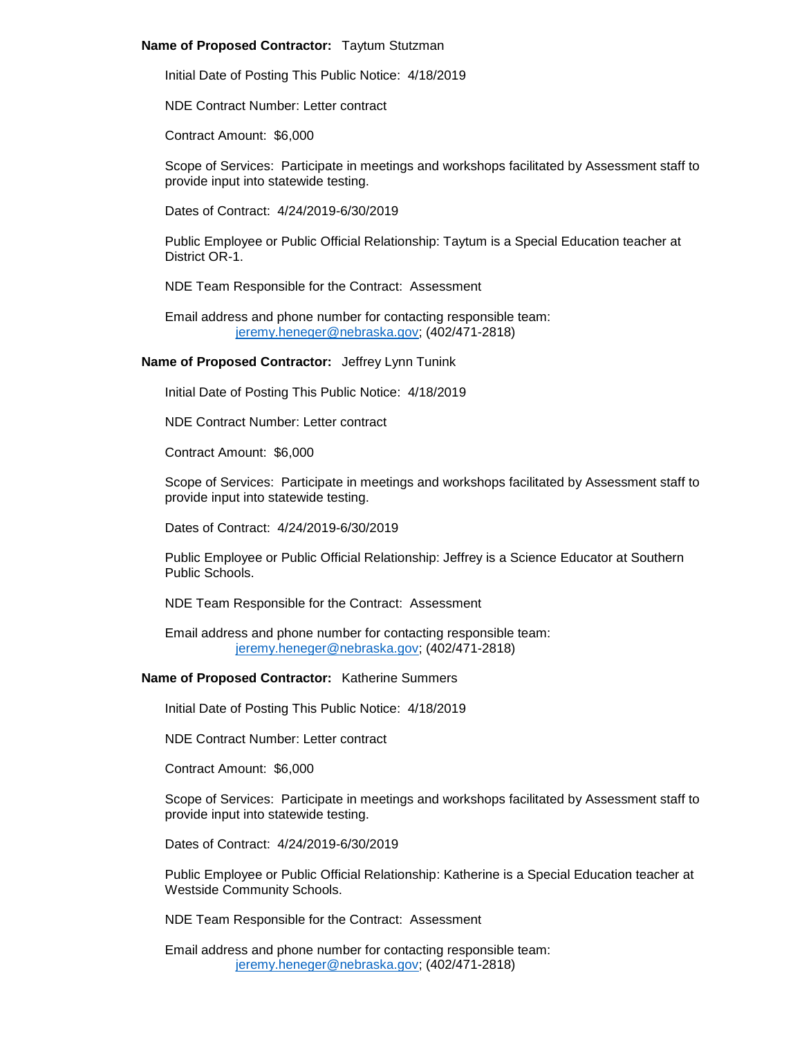## **Name of Proposed Contractor:** Taytum Stutzman

Initial Date of Posting This Public Notice: 4/18/2019

NDE Contract Number: Letter contract

Contract Amount: \$6,000

Scope of Services: Participate in meetings and workshops facilitated by Assessment staff to provide input into statewide testing.

Dates of Contract: 4/24/2019-6/30/2019

Public Employee or Public Official Relationship: Taytum is a Special Education teacher at District OR-1.

NDE Team Responsible for the Contract: Assessment

Email address and phone number for contacting responsible team: [jeremy.heneger@nebraska.gov;](mailto:jeremy.heneger@nebraska.gov) (402/471-2818)

**Name of Proposed Contractor:** Jeffrey Lynn Tunink

Initial Date of Posting This Public Notice: 4/18/2019

NDE Contract Number: Letter contract

Contract Amount: \$6,000

Scope of Services: Participate in meetings and workshops facilitated by Assessment staff to provide input into statewide testing.

Dates of Contract: 4/24/2019-6/30/2019

Public Employee or Public Official Relationship: Jeffrey is a Science Educator at Southern Public Schools.

NDE Team Responsible for the Contract: Assessment

Email address and phone number for contacting responsible team: [jeremy.heneger@nebraska.gov;](mailto:jeremy.heneger@nebraska.gov) (402/471-2818)

## **Name of Proposed Contractor:** Katherine Summers

Initial Date of Posting This Public Notice: 4/18/2019

NDE Contract Number: Letter contract

Contract Amount: \$6,000

Scope of Services: Participate in meetings and workshops facilitated by Assessment staff to provide input into statewide testing.

Dates of Contract: 4/24/2019-6/30/2019

Public Employee or Public Official Relationship: Katherine is a Special Education teacher at Westside Community Schools.

NDE Team Responsible for the Contract: Assessment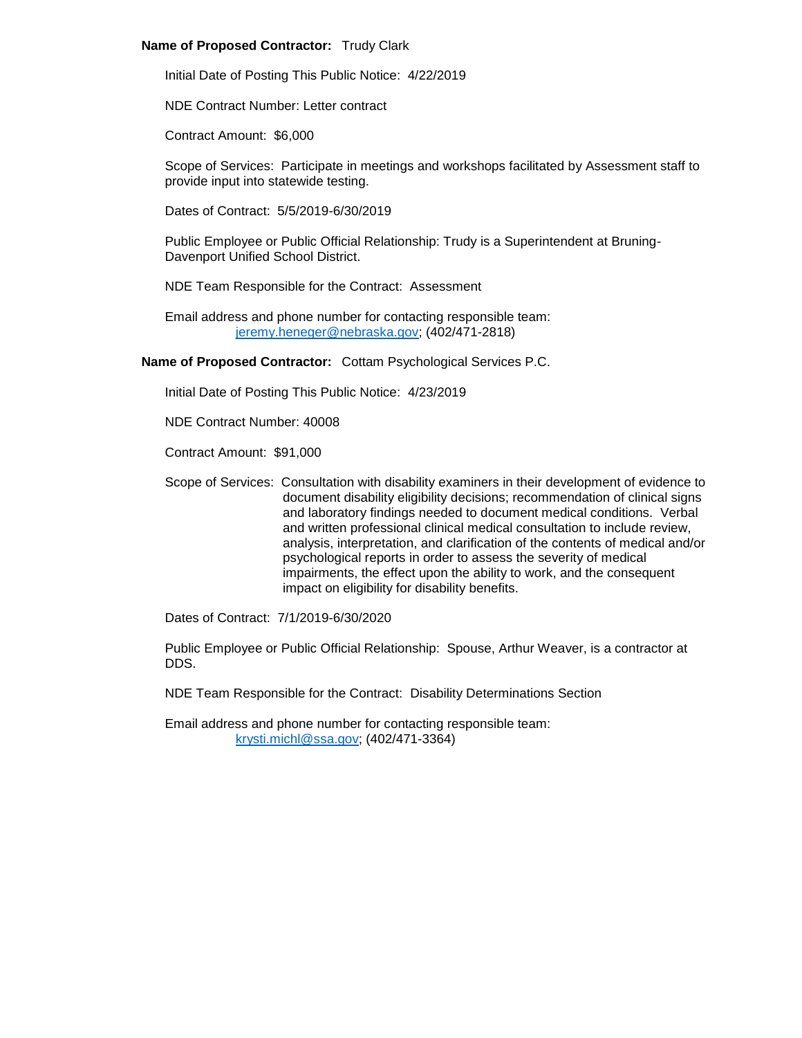# **Name of Proposed Contractor:** Trudy Clark

Initial Date of Posting This Public Notice: 4/22/2019

NDE Contract Number: Letter contract

Contract Amount: \$6,000

Scope of Services: Participate in meetings and workshops facilitated by Assessment staff to provide input into statewide testing.

Dates of Contract: 5/5/2019-6/30/2019

Public Employee or Public Official Relationship: Trudy is a Superintendent at Bruning-Davenport Unified School District.

NDE Team Responsible for the Contract: Assessment

Email address and phone number for contacting responsible team: [jeremy.heneger@nebraska.gov;](mailto:jeremy.heneger@nebraska.gov) (402/471-2818)

**Name of Proposed Contractor:** Cottam Psychological Services P.C.

Initial Date of Posting This Public Notice: 4/23/2019

NDE Contract Number: 40008

Contract Amount: \$91,000

Scope of Services: Consultation with disability examiners in their development of evidence to document disability eligibility decisions; recommendation of clinical signs and laboratory findings needed to document medical conditions. Verbal and written professional clinical medical consultation to include review, analysis, interpretation, and clarification of the contents of medical and/or psychological reports in order to assess the severity of medical impairments, the effect upon the ability to work, and the consequent impact on eligibility for disability benefits.

Dates of Contract: 7/1/2019-6/30/2020

Public Employee or Public Official Relationship: Spouse, Arthur Weaver, is a contractor at DDS.

NDE Team Responsible for the Contract: Disability Determinations Section

Email address and phone number for contacting responsible team: [krysti.michl@ssa.gov;](mailto:krysti.michl@ssa.gov) (402/471-3364)